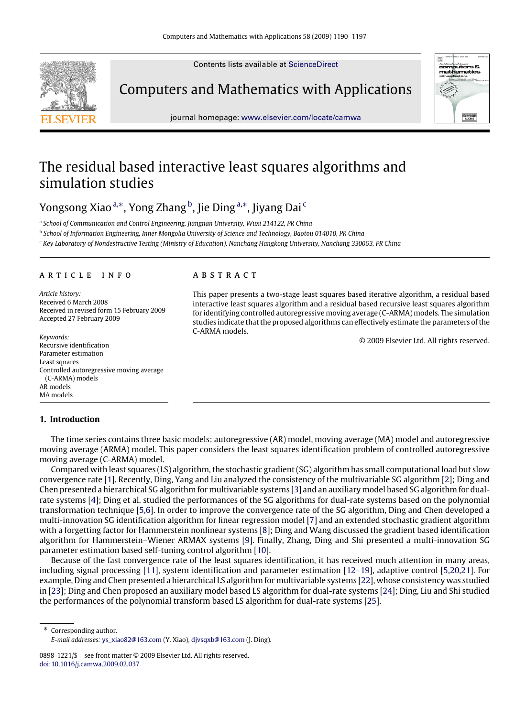Contents lists available at [ScienceDirect](http://www.elsevier.com/locate/camwa)



Computers and Mathematics with Applications



journal homepage: [www.elsevier.com/locate/camwa](http://www.elsevier.com/locate/camwa)

## The residual based interactive least squares algorithms and simulation studies

Yongsong Xiao <sup>[a,](#page-0-0)[∗](#page-0-1)</sup>, Yong Zhang <sup>[b](#page-0-2)</sup>, Jie Ding <sup>a,</sup>\*, Jiyang Dai <sup>[c](#page-0-3)</sup>

<span id="page-0-0"></span>a School of Communication and Control Engineering, Jiangnan University, Wuxi 214122, PR China

<span id="page-0-2"></span>b *School of Information Engineering, Inner Mongolia University of Science and Technology, Baotou 014010, PR China*

<span id="page-0-3"></span><sup>c</sup> *Key Laboratory of Nondestructive Testing (Ministry of Education), Nanchang Hangkong University, Nanchang 330063, PR China*

#### ARTICLE INFO

*Article history:* Received 6 March 2008 Received in revised form 15 February 2009 Accepted 27 February 2009

*Keywords:* Recursive identification Parameter estimation Least squares Controlled autoregressive moving average (C-ARMA) models AR models MA models

## a b s t r a c t

This paper presents a two-stage least squares based iterative algorithm, a residual based interactive least squares algorithm and a residual based recursive least squares algorithm for identifying controlled autoregressive moving average (C-ARMA) models. The simulation studies indicate that the proposed algorithms can effectively estimate the parameters of the C-ARMA models.

© 2009 Elsevier Ltd. All rights reserved.

## **1. Introduction**

The time series contains three basic models: autoregressive (AR) model, moving average (MA) model and autoregressive moving average (ARMA) model. This paper considers the least squares identification problem of controlled autoregressive moving average (C-ARMA) model.

Compared with least squares (LS) algorithm, the stochastic gradient (SG) algorithm has small computational load but slow convergence rate [\[1\]](#page--1-0). Recently, Ding, Yang and Liu analyzed the consistency of the multivariable SG algorithm [\[2\]](#page--1-1); Ding and Chen presented a hierarchical SG algorithm for multivariable systems [\[3\]](#page--1-2) and an auxiliary model based SG algorithm for dualrate systems [\[4\]](#page--1-3); Ding et al. studied the performances of the SG algorithms for dual-rate systems based on the polynomial transformation technique [\[5](#page--1-4)[,6\]](#page--1-5). In order to improve the convergence rate of the SG algorithm, Ding and Chen developed a multi-innovation SG identification algorithm for linear regression model [\[7\]](#page--1-6) and an extended stochastic gradient algorithm with a forgetting factor for Hammerstein nonlinear systems [\[8\]](#page--1-7); Ding and Wang discussed the gradient based identification algorithm for Hammerstein–Wiener ARMAX systems [\[9\]](#page--1-8). Finally, Zhang, Ding and Shi presented a multi-innovation SG parameter estimation based self-tuning control algorithm [\[10\]](#page--1-9).

Because of the fast convergence rate of the least squares identification, it has received much attention in many areas, including signal processing [\[11\]](#page--1-10), system identification and parameter estimation [\[12–19\]](#page--1-11), adaptive control [\[5,](#page--1-4)[20](#page--1-12)[,21\]](#page--1-13). For example, Ding and Chen presented a hierarchical LS algorithm for multivariable systems [\[22\]](#page--1-14), whose consistency was studied in [\[23\]](#page--1-15); Ding and Chen proposed an auxiliary model based LS algorithm for dual-rate systems [\[24\]](#page--1-16); Ding, Liu and Shi studied the performances of the polynomial transform based LS algorithm for dual-rate systems [\[25\]](#page--1-17).

<span id="page-0-1"></span>Corresponding author. *E-mail addresses:* [ys\\_xiao82@163.com](mailto:ys_xiao82@163.com) (Y. Xiao), [djvsqxb@163.com](mailto:djvsqxb@163.com) (J. Ding).

<sup>0898-1221/\$ –</sup> see front matter © 2009 Elsevier Ltd. All rights reserved. [doi:10.1016/j.camwa.2009.02.037](http://dx.doi.org/10.1016/j.camwa.2009.02.037)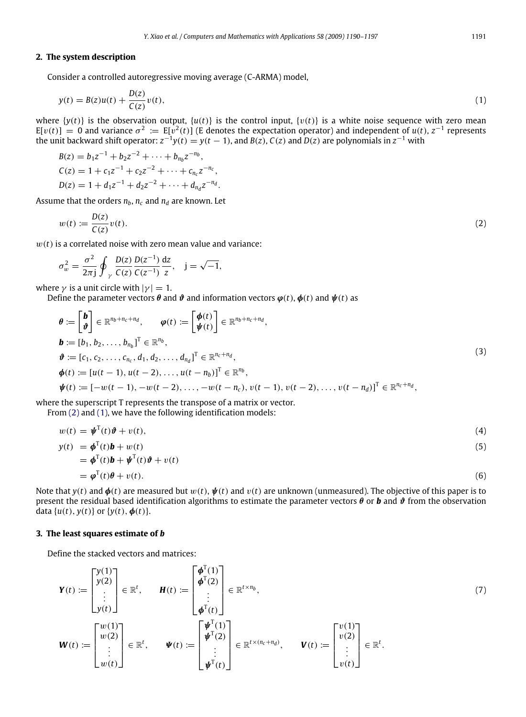## **2. The system description**

Consider a controlled autoregressive moving average (C-ARMA) model,

<span id="page-1-1"></span>
$$
y(t) = B(z)u(t) + \frac{D(z)}{C(z)}v(t),
$$
\n(1)

where  $\{y(t)\}\$ is the observation output,  $\{u(t)\}\$ is the control input,  $\{v(t)\}\$ is a white noise sequence with zero mean  $E[v(t)] = 0$  and variance  $\sigma^2 := E[v^2(t)]$  (E denotes the expectation operator) and independent of  $u(t)$ ,  $z^{-1}$  represents the unit backward shift operator:  $z^{-1}y(t) = y(t-1)$ , and  $B(z)$ ,  $C(z)$  and  $D(z)$  are polynomials in  $z^{-1}$  with

$$
B(z) = b_1 z^{-1} + b_2 z^{-2} + \dots + b_{n_b} z^{-n_b},
$$
  
\n
$$
C(z) = 1 + c_1 z^{-1} + c_2 z^{-2} + \dots + c_{n_c} z^{-n_c},
$$
  
\n
$$
D(z) = 1 + d_1 z^{-1} + d_2 z^{-2} + \dots + d_{n_d} z^{-n_d}.
$$

Assume that the orders  $n_b$ ,  $n_c$  and  $n_d$  are known. Let

<span id="page-1-0"></span>
$$
w(t) := \frac{D(z)}{C(z)}v(t). \tag{2}
$$

 $w(t)$  is a correlated noise with zero mean value and variance:

$$
\sigma_w^2 = \frac{\sigma^2}{2\pi j} \oint_{\gamma} \frac{D(z)}{C(z)} \frac{D(z^{-1})}{C(z^{-1})} \frac{dz}{z}, \quad j = \sqrt{-1},
$$

where  $\gamma$  is a unit circle with  $|\gamma| = 1$ .

Define the parameter vectors  $\theta$  and  $\vartheta$  and information vectors  $\varphi(t)$ ,  $\varphi(t)$  and  $\psi(t)$  as

$$
\theta := \begin{bmatrix} \mathbf{b} \\ \mathbf{v} \end{bmatrix} \in \mathbb{R}^{n_b + n_c + n_d}, \qquad \varphi(t) := \begin{bmatrix} \phi(t) \\ \psi(t) \end{bmatrix} \in \mathbb{R}^{n_b + n_c + n_d},
$$
\n
$$
\mathbf{b} := [b_1, b_2, \dots, b_{n_b}]^T \in \mathbb{R}^{n_b},
$$
\n
$$
\vartheta := [c_1, c_2, \dots, c_{n_c}, d_1, d_2, \dots, d_{n_d}]^T \in \mathbb{R}^{n_c + n_d},
$$
\n
$$
\phi(t) := [u(t-1), u(t-2), \dots, u(t-n_b)]^T \in \mathbb{R}^{n_b},
$$
\n
$$
\psi(t) := [-w(t-1), -w(t-2), \dots, -w(t-n_c), v(t-1), v(t-2), \dots, v(t-n_d)]^T \in \mathbb{R}^{n_c + n_d},
$$
\n(3)

where the superscript T represents the transpose of a matrix or vector.

From [\(2\)](#page-1-0) and [\(1\),](#page-1-1) we have the following identification models:

$$
w(t) = \boldsymbol{\psi}^{\mathrm{T}}(t)\boldsymbol{\vartheta} + v(t),\tag{4}
$$

$$
v(t) = \boldsymbol{\psi}^{\mathrm{T}}(t)\mathbf{h} + w(t)\tag{5}
$$

$$
y(t) = \boldsymbol{\phi}^{T}(t)\boldsymbol{b} + w(t)
$$
  
\n
$$
= \boldsymbol{\phi}^{T}(t)\boldsymbol{b} + \boldsymbol{\psi}^{T}(t)\boldsymbol{\vartheta} + v(t)
$$
  
\n
$$
= \boldsymbol{\phi}^{T}(t)\boldsymbol{\theta} + v(t).
$$
\n(6)

Note that  $y(t)$  and  $\phi(t)$  are measured but  $w(t)$ ,  $\dot{\psi}(t)$  and  $v(t)$  are unknown (unmeasured). The objective of this paper is to present the residual based identification algorithms to estimate the parameter vectors  $\theta$  or **b** and  $\vartheta$  from the observation data  $\{u(t), y(t)\}$  or  $\{y(t), \phi(t)\}.$ 

### **3. The least squares estimate of** *b*

Define the stacked vectors and matrices:

$$
\mathbf{Y}(t) := \begin{bmatrix} y(1) \\ y(2) \\ \vdots \\ y(t) \end{bmatrix} \in \mathbb{R}^{t}, \qquad \mathbf{H}(t) := \begin{bmatrix} \phi^{T}(1) \\ \phi^{T}(2) \\ \vdots \\ \phi^{T}(t) \end{bmatrix} \in \mathbb{R}^{t \times n_{b}},
$$
\n
$$
\mathbf{W}(t) := \begin{bmatrix} w(1) \\ w(2) \\ \vdots \\ w(t) \end{bmatrix} \in \mathbb{R}^{t}, \qquad \mathbf{\Psi}(t) := \begin{bmatrix} \mathbf{\Psi}^{T}(1) \\ \mathbf{\Psi}^{T}(2) \\ \vdots \\ \mathbf{\Psi}^{T}(t) \end{bmatrix} \in \mathbb{R}^{t \times (n_{c} + n_{d})}, \qquad \mathbf{V}(t) := \begin{bmatrix} v(1) \\ v(2) \\ \vdots \\ v(t) \end{bmatrix} \in \mathbb{R}^{t}.
$$
\n(7)